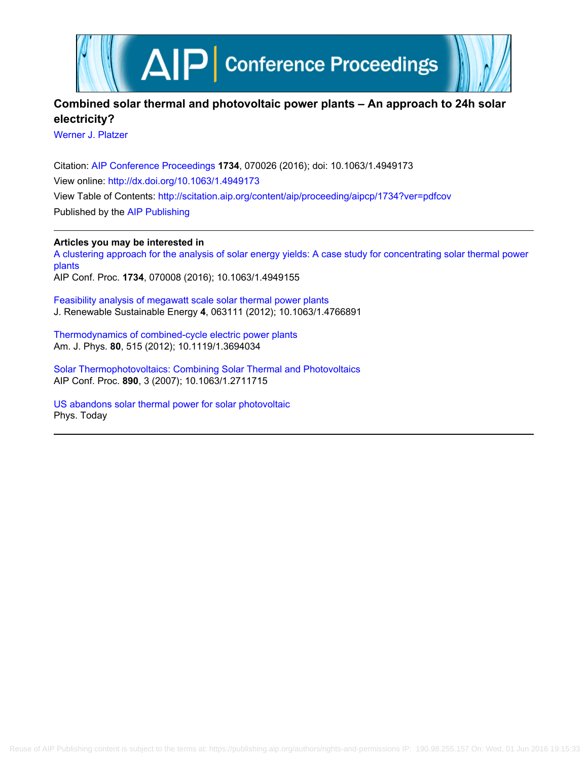

## **Combined solar thermal and photovoltaic power plants – An approach to 24h solar electricity?**

[Werner J. Platzer](http://scitation.aip.org/search?value1=Werner+J.+Platzer&option1=author)

Citation: [AIP Conference Proceedings](http://scitation.aip.org/content/aip/proceeding/aipcp?ver=pdfcov) **1734**, 070026 (2016); doi: 10.1063/1.4949173 View online: <http://dx.doi.org/10.1063/1.4949173> View Table of Contents: <http://scitation.aip.org/content/aip/proceeding/aipcp/1734?ver=pdfcov> Published by the [AIP Publishing](http://scitation.aip.org/content/aip?ver=pdfcov)

**Articles you may be interested in**

[A clustering approach for the analysis of solar energy yields: A case study for concentrating solar thermal power](http://scitation.aip.org/content/aip/proceeding/aipcp/10.1063/1.4949155?ver=pdfcov) [plants](http://scitation.aip.org/content/aip/proceeding/aipcp/10.1063/1.4949155?ver=pdfcov)

AIP Conf. Proc. **1734**, 070008 (2016); 10.1063/1.4949155

[Feasibility analysis of megawatt scale solar thermal power plants](http://scitation.aip.org/content/aip/journal/jrse/4/6/10.1063/1.4766891?ver=pdfcov) J. Renewable Sustainable Energy **4**, 063111 (2012); 10.1063/1.4766891

[Thermodynamics of combined-cycle electric power plants](http://scitation.aip.org/content/aapt/journal/ajp/80/6/10.1119/1.3694034?ver=pdfcov) Am. J. Phys. **80**, 515 (2012); 10.1119/1.3694034

[Solar Thermophotovoltaics: Combining Solar Thermal and Photovoltaics](http://scitation.aip.org/content/aip/proceeding/aipcp/10.1063/1.2711715?ver=pdfcov) AIP Conf. Proc. **890**, 3 (2007); 10.1063/1.2711715

[US abandons solar thermal power for solar photovoltaic](http://scitation.aip.org/content/aip/magazine/physicstoday/news/news-picks/us-abandons-solar-thermal-power-for-solar-photovoltaic-a-news-pick-post?ver=pdfcov) Phys. Today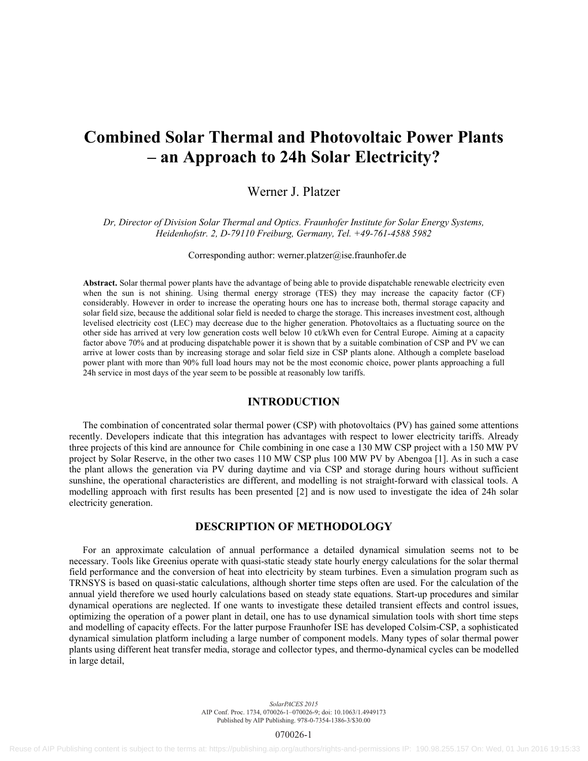# **Combined Solar Thermal and Photovoltaic Power Plants – an Approach to 24h Solar Electricity?**

### Werner J. Platzer

*Dr, Director of Division Solar Thermal and Optics. Fraunhofer Institute for Solar Energy Systems, Heidenhofstr. 2, D-79110 Freiburg, Germany, Tel. +49-761-4588 5982* 

Corresponding author: werner.platzer@ise.fraunhofer.de

**Abstract.** Solar thermal power plants have the advantage of being able to provide dispatchable renewable electricity even when the sun is not shining. Using thermal energy strorage (TES) they may increase the capacity factor (CF) considerably. However in order to increase the operating hours one has to increase both, thermal storage capacity and solar field size, because the additional solar field is needed to charge the storage. This increases investment cost, although levelised electricity cost (LEC) may decrease due to the higher generation. Photovoltaics as a fluctuating source on the other side has arrived at very low generation costs well below 10 ct/kWh even for Central Europe. Aiming at a capacity factor above 70% and at producing dispatchable power it is shown that by a suitable combination of CSP and PV we can arrive at lower costs than by increasing storage and solar field size in CSP plants alone. Although a complete baseload power plant with more than 90% full load hours may not be the most economic choice, power plants approaching a full 24h service in most days of the year seem to be possible at reasonably low tariffs.

#### **INTRODUCTION**

The combination of concentrated solar thermal power (CSP) with photovoltaics (PV) has gained some attentions recently. Developers indicate that this integration has advantages with respect to lower electricity tariffs. Already three projects of this kind are announce for Chile combining in one case a 130 MW CSP project with a 150 MW PV project by Solar Reserve, in the other two cases 110 MW CSP plus 100 MW PV by Abengoa [1]. As in such a case the plant allows the generation via PV during daytime and via CSP and storage during hours without sufficient sunshine, the operational characteristics are different, and modelling is not straight-forward with classical tools. A modelling approach with first results has been presented [2] and is now used to investigate the idea of 24h solar electricity generation.

#### **DESCRIPTION OF METHODOLOGY**

For an approximate calculation of annual performance a detailed dynamical simulation seems not to be necessary. Tools like Greenius operate with quasi-static steady state hourly energy calculations for the solar thermal field performance and the conversion of heat into electricity by steam turbines. Even a simulation program such as TRNSYS is based on quasi-static calculations, although shorter time steps often are used. For the calculation of the annual yield therefore we used hourly calculations based on steady state equations. Start-up procedures and similar dynamical operations are neglected. If one wants to investigate these detailed transient effects and control issues, optimizing the operation of a power plant in detail, one has to use dynamical simulation tools with short time steps and modelling of capacity effects. For the latter purpose Fraunhofer ISE has developed Colsim-CSP, a sophisticated dynamical simulation platform including a large number of component models. Many types of solar thermal power plants using different heat transfer media, storage and collector types, and thermo-dynamical cycles can be modelled in large detail,

> *SolarPACES 2015* AIP Conf. Proc. 1734, 070026-1–070026-9; doi: 10.1063/1.4949173 Published by AIP Publishing. 978-0-7354-1386-3/\$30.00

> > 070026-1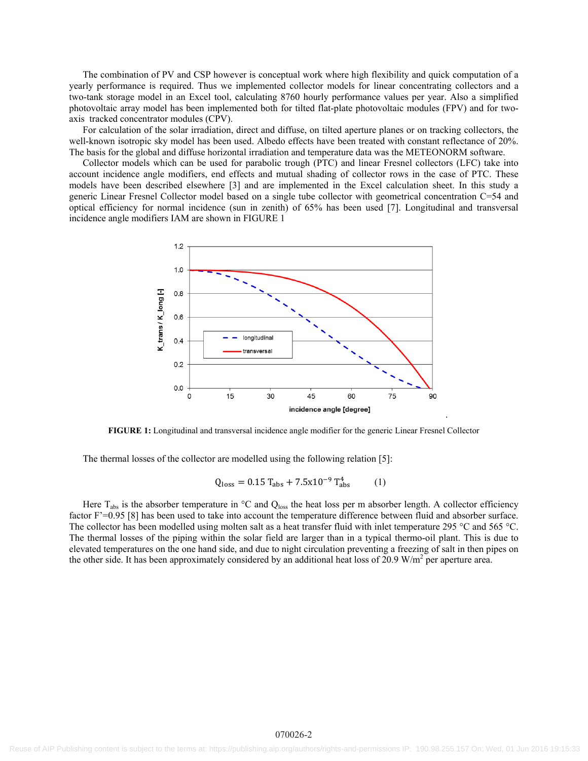The combination of PV and CSP however is conceptual work where high flexibility and quick computation of a yearly performance is required. Thus we implemented collector models for linear concentrating collectors and a two-tank storage model in an Excel tool, calculating 8760 hourly performance values per year. Also a simplified photovoltaic array model has been implemented both for tilted flat-plate photovoltaic modules (FPV) and for twoaxis tracked concentrator modules (CPV).

For calculation of the solar irradiation, direct and diffuse, on tilted aperture planes or on tracking collectors, the well-known isotropic sky model has been used. Albedo effects have been treated with constant reflectance of 20%. The basis for the global and diffuse horizontal irradiation and temperature data was the METEONORM software.

Collector models which can be used for parabolic trough (PTC) and linear Fresnel collectors (LFC) take into account incidence angle modifiers, end effects and mutual shading of collector rows in the case of PTC. These models have been described elsewhere [3] and are implemented in the Excel calculation sheet. In this study a generic Linear Fresnel Collector model based on a single tube collector with geometrical concentration C=54 and optical efficiency for normal incidence (sun in zenith) of 65% has been used [7]. Longitudinal and transversal incidence angle modifiers IAM are shown in FIGURE 1



**FIGURE 1:** Longitudinal and transversal incidence angle modifier for the generic Linear Fresnel Collector

The thermal losses of the collector are modelled using the following relation [5]:

$$
Q_{\text{loss}} = 0.15 \, T_{\text{abs}} + 7.5x10^{-9} \, T_{\text{abs}}^4 \tag{1}
$$

Here  $T_{\text{abs}}$  is the absorber temperature in  $\textdegree C$  and  $Q_{\text{loss}}$  the heat loss per m absorber length. A collector efficiency factor F'=0.95 [8] has been used to take into account the temperature difference between fluid and absorber surface. The collector has been modelled using molten salt as a heat transfer fluid with inlet temperature 295 °C and 565 °C. The thermal losses of the piping within the solar field are larger than in a typical thermo-oil plant. This is due to elevated temperatures on the one hand side, and due to night circulation preventing a freezing of salt in then pipes on the other side. It has been approximately considered by an additional heat loss of  $20.9 \text{ W/m}^2$  per aperture area.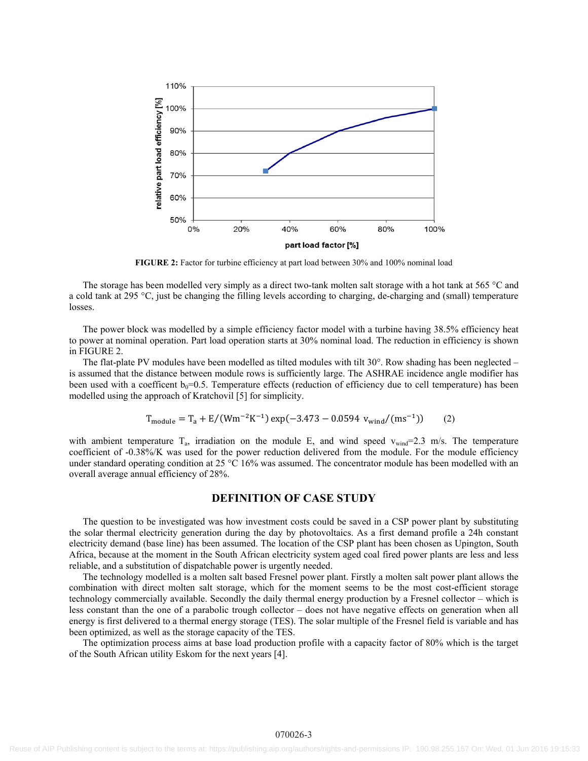

**FIGURE 2:** Factor for turbine efficiency at part load between 30% and 100% nominal load

The storage has been modelled very simply as a direct two-tank molten salt storage with a hot tank at 565 °C and a cold tank at 295 °C, just be changing the filling levels according to charging, de-charging and (small) temperature losses.

The power block was modelled by a simple efficiency factor model with a turbine having 38.5% efficiency heat to power at nominal operation. Part load operation starts at 30% nominal load. The reduction in efficiency is shown in FIGURE 2.

The flat-plate PV modules have been modelled as tilted modules with tilt 30°. Row shading has been neglected – is assumed that the distance between module rows is sufficiently large. The ASHRAE incidence angle modifier has been used with a coefficent  $b_0=0.5$ . Temperature effects (reduction of efficiency due to cell temperature) has been modelled using the approach of Kratchovil [5] for simplicity.

$$
T_{\text{module}} = T_a + E/(Wm^{-2}K^{-1}) \exp(-3.473 - 0.0594 \ v_{\text{wind}}/(m s^{-1})) \tag{2}
$$

with ambient temperature  $T_a$ , irradiation on the module E, and wind speed  $v_{wind}$ =2.3 m/s. The temperature coefficient of -0.38%/K was used for the power reduction delivered from the module. For the module efficiency under standard operating condition at 25 °C 16% was assumed. The concentrator module has been modelled with an overall average annual efficiency of 28%.

#### **DEFINITION OF CASE STUDY**

The question to be investigated was how investment costs could be saved in a CSP power plant by substituting the solar thermal electricity generation during the day by photovoltaics. As a first demand profile a 24h constant electricity demand (base line) has been assumed. The location of the CSP plant has been chosen as Upington, South Africa, because at the moment in the South African electricity system aged coal fired power plants are less and less reliable, and a substitution of dispatchable power is urgently needed.

The technology modelled is a molten salt based Fresnel power plant. Firstly a molten salt power plant allows the combination with direct molten salt storage, which for the moment seems to be the most cost-efficient storage technology commercially available. Secondly the daily thermal energy production by a Fresnel collector – which is less constant than the one of a parabolic trough collector – does not have negative effects on generation when all energy is first delivered to a thermal energy storage (TES). The solar multiple of the Fresnel field is variable and has been optimized, as well as the storage capacity of the TES.

The optimization process aims at base load production profile with a capacity factor of 80% which is the target of the South African utility Eskom for the next years [4].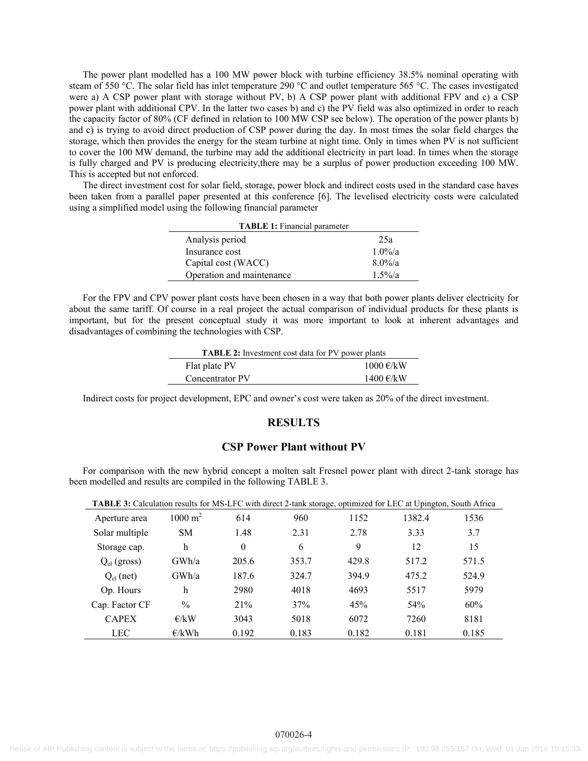The power plant modelled has a 100 MW power block with turbine efficiency 38.5% nominal operating with steam of 550 °C. The solar field has inlet temperature 290 °C and outlet temperature 565 °C. The cases investigated were a) A CSP power plant with storage without PV, b) A CSP power plant with additional FPV and c) a CSP power plant with additional CPV. In the latter two cases b) and c) the PV field was also optimized in order to reach the capacity factor of 80% (CF defined in relation to 100 MW CSP see below). The operation of the power plants b) and c) is trying to avoid direct production of CSP power during the day. In most times the solar field charges the storage, which then provides the energy for the steam turbine at night time. Only in times when PV is not sufficient to cover the 100 MW demand, the turbine may add the additional electricity in part load. In times when the storage is fully charged and PV is producing electricity, there may be a surplus of power production exceeding 100 MW. This is accepted but not enforced.

The direct investment cost for solar field, storage, power block and indirect costs used in the standard case haves been taken from a parallel paper presented at this conference [6]. The levelised electricity costs were calculated using a simplified model using the following financial parameter

| <b>TABLE 1:</b> Financial parameter |            |  |  |  |  |
|-------------------------------------|------------|--|--|--|--|
| Analysis period                     | 25a        |  |  |  |  |
| Insurance cost                      | $1.0\%$ /a |  |  |  |  |
| Capital cost (WACC)                 | $8.0\%$ /a |  |  |  |  |
| Operation and maintenance           | $1.5\%$ /a |  |  |  |  |

For the FPV and CPV power plant costs have been chosen in a way that both power plants deliver electricity for about the same tariff. Of course in a real project the actual comparison of individual products for these plants is important, but for the present conceptual study it was more important to look at inherent advantages and disadvantages of combining the technologies with CSP.

| <b>TABLE 2:</b> Investment cost data for PV power plants |           |
|----------------------------------------------------------|-----------|
| Flat plate PV                                            | 1000 €/kW |
| Concentrator PV                                          | 1400 €/kW |

Indirect costs for project development, EPC and owner's cost were taken as 20% of the direct investment.

#### **RESULTS**

#### **CSP Power Plant without PV**

For comparison with the new hybrid concept a molten salt Fresnel power plant with direct 2-tank storage has been modelled and results are compiled in the following TABLE 3.

| <b>TADLE 3.</b> Calculation results for twis-LPC with uncer 2-tail storage, optimized for LEC at Opington, South Affica |                    |                  |       |       |        |       |
|-------------------------------------------------------------------------------------------------------------------------|--------------------|------------------|-------|-------|--------|-------|
| Aperture area                                                                                                           | $1000 \text{ m}^2$ | 614              | 960   | 1152  | 1382.4 | 1536  |
| Solar multiple                                                                                                          | <b>SM</b>          | 1.48             | 2.31  | 2.78  | 3.33   | 3.7   |
| Storage cap.                                                                                                            | h                  | $\boldsymbol{0}$ | 6     | 9     | 12     | 15    |
| $Q_{el}$ (gross)                                                                                                        | GWh/a              | 205.6            | 353.7 | 429.8 | 517.2  | 571.5 |
| $Q_{el}$ (net)                                                                                                          | GWh/a              | 187.6            | 324.7 | 394.9 | 475.2  | 524.9 |
| Op. Hours                                                                                                               | h                  | 2980             | 4018  | 4693  | 5517   | 5979  |
| Cap. Factor CF                                                                                                          | $\%$               | 21%              | 37%   | 45%   | 54%    | 60%   |
| <b>CAPEX</b>                                                                                                            | E/KW               | 3043             | 5018  | 6072  | 7260   | 8181  |
| <b>LEC</b>                                                                                                              | E/kWh              | 0.192            | 0.183 | 0.182 | 0.181  | 0.185 |

**TABLE 3:** Calculation results for MS-LFC with direct 2-tank storage, optimized for LEC at Upington, South Africa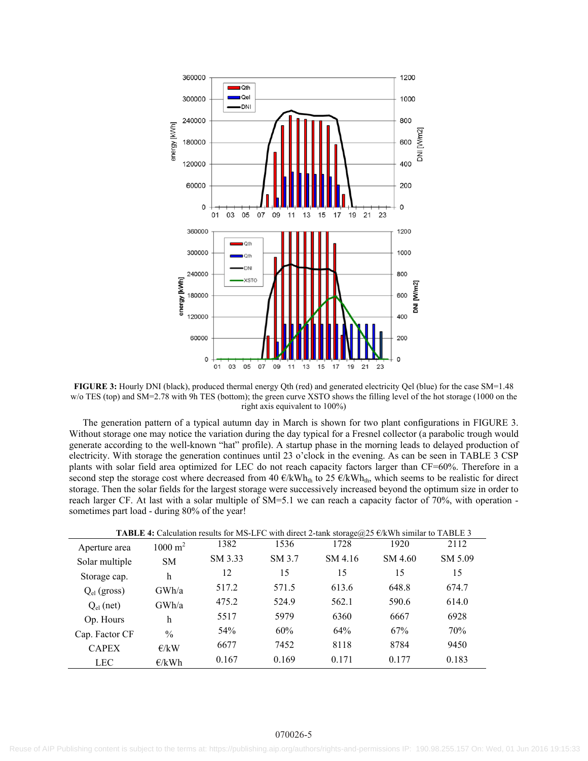

**FIGURE 3:** Hourly DNI (black), produced thermal energy Qth (red) and generated electricity Qel (blue) for the case SM=1.48 w/o TES (top) and SM=2.78 with 9h TES (bottom); the green curve XSTO shows the filling level of the hot storage (1000 on the right axis equivalent to 100%)

The generation pattern of a typical autumn day in March is shown for two plant configurations in FIGURE 3. Without storage one may notice the variation during the day typical for a Fresnel collector (a parabolic trough would generate according to the well-known "hat" profile). A startup phase in the morning leads to delayed production of electricity. With storage the generation continues until 23 o'clock in the evening. As can be seen in TABLE 3 CSP plants with solar field area optimized for LEC do not reach capacity factors larger than CF=60%. Therefore in a second step the storage cost where decreased from 40  $\epsilon/kWh_{th}$  to 25  $\epsilon/kWh_{th}$ , which seems to be realistic for direct storage. Then the solar fields for the largest storage were successively increased beyond the optimum size in order to reach larger CF. At last with a solar multiple of SM=5.1 we can reach a capacity factor of 70%, with operation sometimes part load - during 80% of the year!

| <b>TABLE 4:</b> Calculation results for MS-LFC with direct 2-tank storage $@25 \in kWh$ similar to TABLE 3 |                        |         |        |         |         |         |  |  |
|------------------------------------------------------------------------------------------------------------|------------------------|---------|--------|---------|---------|---------|--|--|
| Aperture area                                                                                              | $1000 \; \mathrm{m}^2$ | 1382    | 1536   | 1728    | 1920    | 2112    |  |  |
| Solar multiple                                                                                             | SM.                    | SM 3.33 | SM 3.7 | SM 4.16 | SM 4.60 | SM 5.09 |  |  |
| Storage cap.                                                                                               | h                      | 12      | 15     | 15      | 15      | 15      |  |  |
| $Q_{el}$ (gross)                                                                                           | GWh/a                  | 517.2   | 571.5  | 613.6   | 648.8   | 674.7   |  |  |
| $Q_{el}$ (net)                                                                                             | GWh/a                  | 475.2   | 524.9  | 562.1   | 590.6   | 614.0   |  |  |
| Op. Hours                                                                                                  | h                      | 5517    | 5979   | 6360    | 6667    | 6928    |  |  |
| Cap. Factor CF                                                                                             | $\frac{0}{0}$          | 54%     | 60%    | 64%     | 67%     | 70%     |  |  |
| <b>CAPEX</b>                                                                                               | E/KW                   | 6677    | 7452   | 8118    | 8784    | 9450    |  |  |
| <b>LEC</b>                                                                                                 | E/kWh                  | 0.167   | 0.169  | 0.171   | 0.177   | 0.183   |  |  |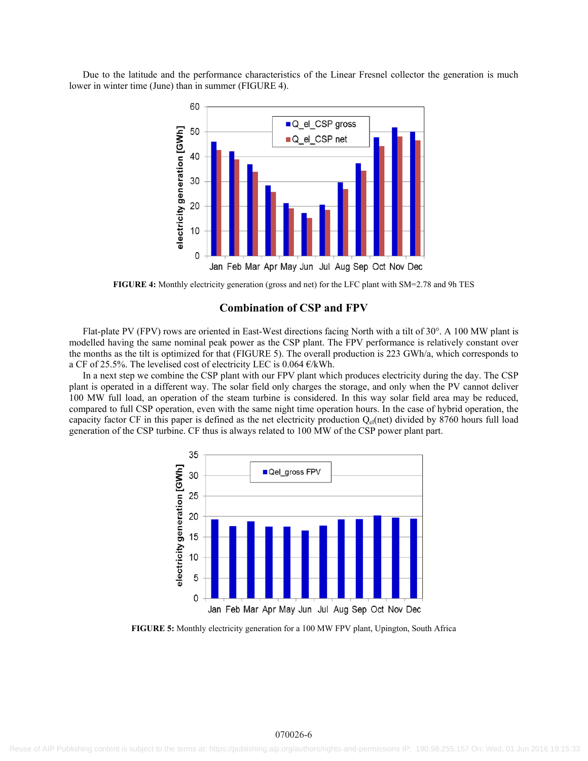Due to the latitude and the performance characteristics of the Linear Fresnel collector the generation is much lower in winter time (June) than in summer (FIGURE 4).



**FIGURE 4:** Monthly electricity generation (gross and net) for the LFC plant with SM=2.78 and 9h TES

#### **Combination of CSP and FPV**

Flat-plate PV (FPV) rows are oriented in East-West directions facing North with a tilt of 30°. A 100 MW plant is modelled having the same nominal peak power as the CSP plant. The FPV performance is relatively constant over the months as the tilt is optimized for that (FIGURE 5). The overall production is 223 GWh/a, which corresponds to a CF of 25.5%. The levelised cost of electricity LEC is  $0.064 \text{ E/kWh}$ .

In a next step we combine the CSP plant with our FPV plant which produces electricity during the day. The CSP plant is operated in a different way. The solar field only charges the storage, and only when the PV cannot deliver 100 MW full load, an operation of the steam turbine is considered. In this way solar field area may be reduced, compared to full CSP operation, even with the same night time operation hours. In the case of hybrid operation, the capacity factor CF in this paper is defined as the net electricity production  $Q_{el}(net)$  divided by 8760 hours full load generation of the CSP turbine. CF thus is always related to 100 MW of the CSP power plant part.



**FIGURE 5:** Monthly electricity generation for a 100 MW FPV plant, Upington, South Africa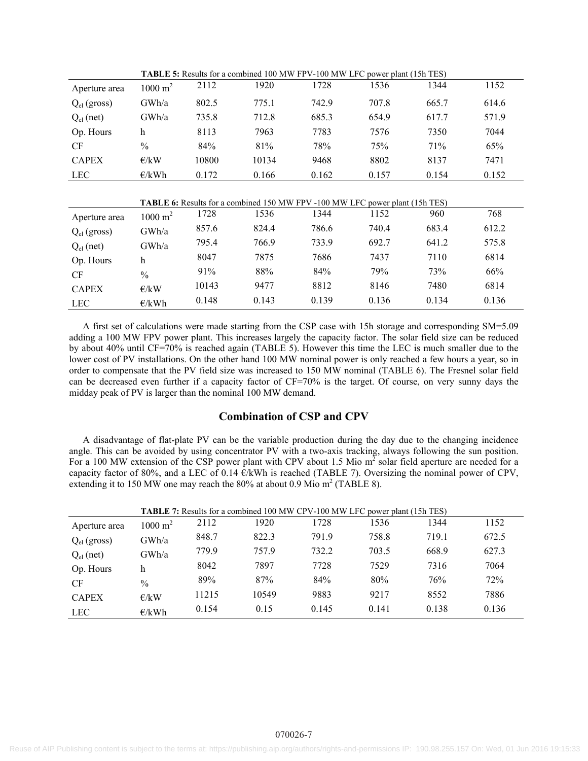|                  |                    |       | <b>THERE OF INSTITUTION WAS LOTED TO THAT THE REAL TEAM</b> POSITION TO DURING THE REAL TEAM TEAM IS A LIGHT TO BE A LIG |       |       |       |       |
|------------------|--------------------|-------|--------------------------------------------------------------------------------------------------------------------------|-------|-------|-------|-------|
| Aperture area    | $1000 \text{ m}^2$ | 2112  | 1920                                                                                                                     | 1728  | 1536  | 1344  | 1152  |
| $Q_{el}$ (gross) | GWh/a              | 802.5 | 775.1                                                                                                                    | 742.9 | 707.8 | 665.7 | 614.6 |
| $Q_{el}$ (net)   | GWh/a              | 735.8 | 712.8                                                                                                                    | 685.3 | 654.9 | 617.7 | 571.9 |
| Op. Hours        | h                  | 8113  | 7963                                                                                                                     | 7783  | 7576  | 7350  | 7044  |
| <b>CF</b>        | $\frac{0}{0}$      | 84%   | 81%                                                                                                                      | 78%   | 75%   | 71%   | 65%   |
| <b>CAPEX</b>     | E/KW               | 10800 | 10134                                                                                                                    | 9468  | 8802  | 8137  | 7471  |
| <b>LEC</b>       | E/kWh              | 0.172 | 0.166                                                                                                                    | 0.162 | 0.157 | 0.154 | 0.152 |

**TABLE 5:** Results for a combined 100 MW FPV-100 MW LFC power plant (15h TES)

| <b>TABLE 6:</b> Results for a combined 150 MW FPV -100 MW LFC power plant (15h TES) |  |  |
|-------------------------------------------------------------------------------------|--|--|
|-------------------------------------------------------------------------------------|--|--|

| Aperture area    | $1000 \text{ m}^2$ | 1728  | 1536  | 1344  | 1152  | 960   | 768   |
|------------------|--------------------|-------|-------|-------|-------|-------|-------|
| $Q_{el}$ (gross) | GWh/a              | 857.6 | 824.4 | 786.6 | 740.4 | 683.4 | 612.2 |
| $Q_{el}$ (net)   | GWh/a              | 795.4 | 766.9 | 733.9 | 692.7 | 641.2 | 575.8 |
| Op. Hours        | h                  | 8047  | 7875  | 7686  | 7437  | 7110  | 6814  |
| <b>CF</b>        | $\%$               | 91%   | 88%   | 84%   | 79%   | 73%   | 66%   |
| <b>CAPEX</b>     | E/KW               | 10143 | 9477  | 8812  | 8146  | 7480  | 6814  |
| <b>LEC</b>       | E/kWh              | 0.148 | 0.143 | 0.139 | 0.136 | 0.134 | 0.136 |

A first set of calculations were made starting from the CSP case with 15h storage and corresponding SM=5.09 adding a 100 MW FPV power plant. This increases largely the capacity factor. The solar field size can be reduced by about 40% until CF=70% is reached again (TABLE 5). However this time the LEC is much smaller due to the lower cost of PV installations. On the other hand 100 MW nominal power is only reached a few hours a year, so in order to compensate that the PV field size was increased to 150 MW nominal (TABLE 6). The Fresnel solar field can be decreased even further if a capacity factor of CF=70% is the target. Of course, on very sunny days the midday peak of PV is larger than the nominal 100 MW demand.

#### **Combination of CSP and CPV**

A disadvantage of flat-plate PV can be the variable production during the day due to the changing incidence angle. This can be avoided by using concentrator PV with a two-axis tracking, always following the sun position. For a 100 MW extension of the CSP power plant with CPV about 1.5 Mio  $m^2$  solar field aperture are needed for a capacity factor of 80%, and a LEC of 0.14 €/kWh is reached (TABLE 7). Oversizing the nominal power of CPV, extending it to 150 MW one may reach the 80% at about 0.9 Mio  $m^2$  (TABLE 8).

|                  |                    |       | TABLE 7: Results for a combined 100 MW CPV-100 MW LFC power plant (15h TES) |       |       |       |       |
|------------------|--------------------|-------|-----------------------------------------------------------------------------|-------|-------|-------|-------|
| Aperture area    | $1000 \text{ m}^2$ | 2112  | 1920                                                                        | 1728  | 1536  | 1344  | 1152  |
| $Q_{el}$ (gross) | GWh/a              | 848.7 | 822.3                                                                       | 791.9 | 758.8 | 719.1 | 672.5 |
| $Q_{el}$ (net)   | GWh/a              | 779.9 | 757.9                                                                       | 732.2 | 703.5 | 668.9 | 627.3 |
| Op. Hours        | h                  | 8042  | 7897                                                                        | 7728  | 7529  | 7316  | 7064  |
| <b>CF</b>        | $\frac{0}{0}$      | 89%   | 87%                                                                         | 84%   | 80%   | 76%   | 72%   |
| <b>CAPEX</b>     | E/kW               | 11215 | 10549                                                                       | 9883  | 9217  | 8552  | 7886  |
| <b>LEC</b>       | E/kWh              | 0.154 | 0.15                                                                        | 0.145 | 0.141 | 0.138 | 0.136 |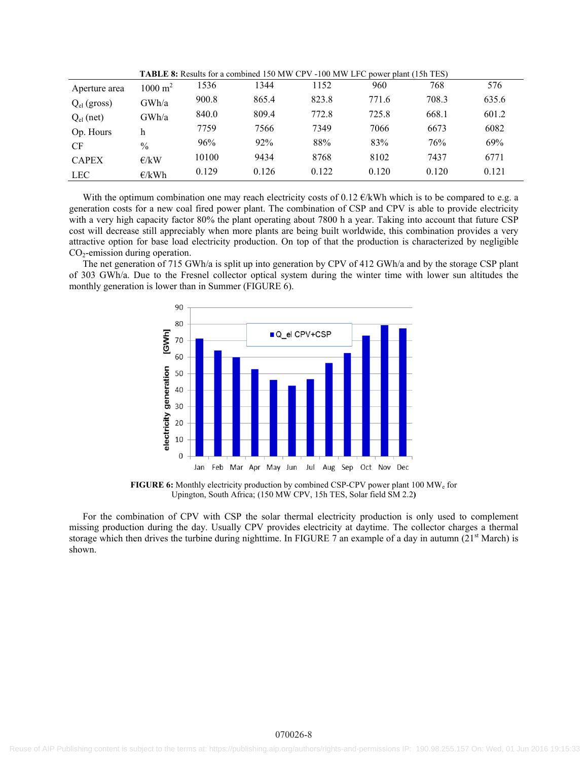| Aperture area    | $1000 \text{ m}^2$ | 1536  | 1344  | 152   | 960   | 768   | 576   |
|------------------|--------------------|-------|-------|-------|-------|-------|-------|
| $Q_{el}$ (gross) | GWh/a              | 900.8 | 865.4 | 823.8 | 771.6 | 708.3 | 635.6 |
| $Q_{el}$ (net)   | GWh/a              | 840.0 | 809.4 | 772.8 | 725.8 | 668.1 | 601.2 |
| Op. Hours        | h                  | 7759  | 7566  | 7349  | 7066  | 6673  | 6082  |
| <b>CF</b>        | $\frac{0}{0}$      | 96%   | 92%   | 88%   | 83%   | 76%   | 69%   |
| <b>CAPEX</b>     | E/kW               | 10100 | 9434  | 8768  | 8102  | 7437  | 6771  |
| <b>LEC</b>       | E/kWh              | 0.129 | 0.126 | 0.122 | 0.120 | 0.120 | 0.121 |

**TABLE 8:** Results for a combined 150 MW CPV -100 MW LFC power plant (15h TES)

With the optimum combination one may reach electricity costs of 0.12 €/kWh which is to be compared to e.g. a generation costs for a new coal fired power plant. The combination of CSP and CPV is able to provide electricity with a very high capacity factor 80% the plant operating about 7800 h a year. Taking into account that future CSP cost will decrease still appreciably when more plants are being built worldwide, this combination provides a very attractive option for base load electricity production. On top of that the production is characterized by negligible  $CO<sub>2</sub>$ -emission during operation.

The net generation of 715 GWh/a is split up into generation by CPV of 412 GWh/a and by the storage CSP plant of 303 GWh/a. Due to the Fresnel collector optical system during the winter time with lower sun altitudes the monthly generation is lower than in Summer (FIGURE 6).



**FIGURE 6:** Monthly electricity production by combined CSP-CPV power plant 100 MWe for Upington, South Africa; (150 MW CPV, 15h TES, Solar field SM 2.2**)** 

For the combination of CPV with CSP the solar thermal electricity production is only used to complement missing production during the day. Usually CPV provides electricity at daytime. The collector charges a thermal storage which then drives the turbine during nighttime. In FIGURE 7 an example of a day in autumn  $(21<sup>st</sup> March)$  is shown.